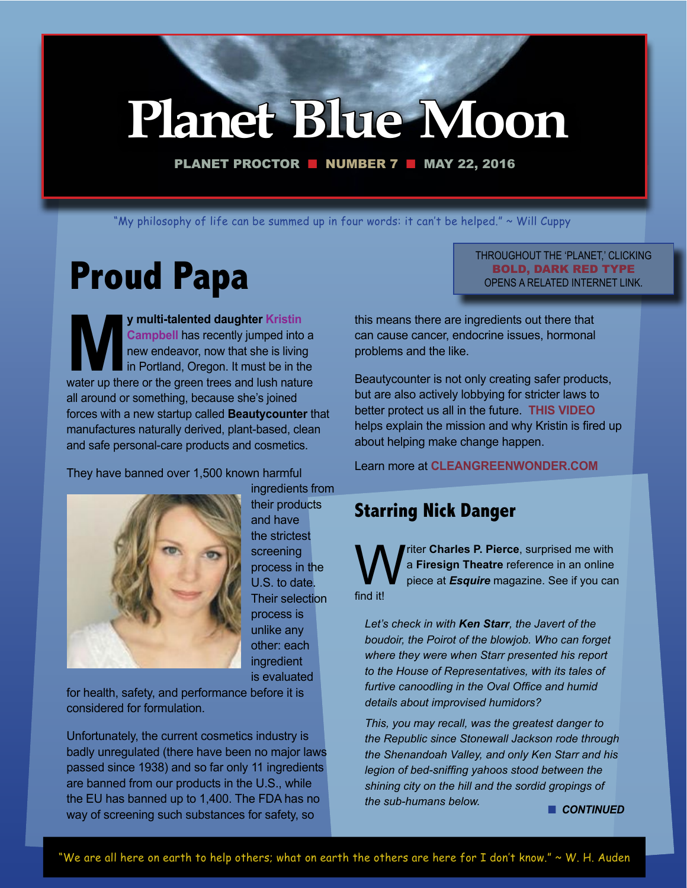# **Planet Blue Moon**

PLANET PROCTOR  $\blacksquare$  NUMBER 7  $\blacksquare$  MAY 22, 2016

"My philosophy of life can be summed up in four words: it can't be helped." ~ Will Cuppy

# **Proud Papa**

**My multi-talented daughter Kristin Campbell** has recently jumped into a new endeavor, now that she is living in Portland, Oregon. It must be in the water up there or the green trees and lush nature **Campbell** has recently jumped into a new endeavor, now that she is living in Portland, Oregon. It must be in the all around or something, because she's joined forces with a new startup called **Beautycounter** that manufactures naturally derived, plant-based, clean and safe personal-care products and cosmetics.

They have banned over 1,500 known harmful



ingredients from their products and have the strictest screening process in the U.S. to date. Their selection process is unlike any other: each ingredient is evaluated

for health, safety, and performance before it is considered for formulation.

Unfortunately, the current cosmetics industry is badly unregulated (there have been no major laws passed since 1938) and so far only 11 ingredients are banned from our products in the U.S., while the EU has banned up to 1,400. The FDA has no way of screening such substances for safety, so

#### THROUGHOUT THE 'PLANET,' CLICKING BOLD, DARK RED TYPE OPENS A RELATED INTERNET LINK.

this means there are ingredients out there that can cause cancer, endocrine issues, hormonal problems and the like.

Beautycounter is not only creating safer products, but are also actively lobbying for stricter laws to better protect us all in the future. **[THIS VIDEO](https://youtu.be/aZfV91Ybmnc)** helps explain the mission and why Kristin is fired up about helping make change happen.

Learn more at **[CLEANGREENWONDER.COM](http://www.cleangreenwonder.com)**

## **Starring Nick Danger**

riter **Charles P. Pierce**, surprised me with a **Firesign Theatre** reference in an online piece at *Esquire* magazine. See if you can find it!

*Let's check in with Ken Starr, the Javert of the boudoir, the Poirot of the blowjob. Who can forget where they were when Starr presented his report to the House of Representatives, with its tales of furtive canoodling in the Oval Office and humid details about improvised humidors?* 

*This, you may recall, was the greatest danger to the Republic since Stonewall Jackson rode through the Shenandoah Valley, and only Ken Starr and his legion of bed-sniffing yahoos stood between the shining city on the hill and the sordid gropings of the sub-humans below.* **n** CONTINUED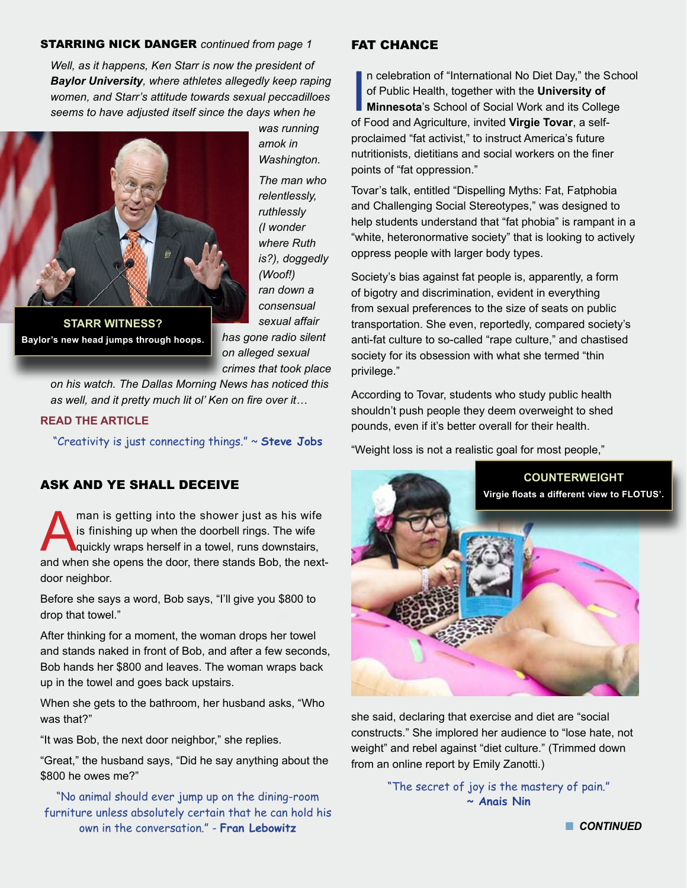#### STARRING NICK DANGER *continued from page 1*

*Well, as it happens, Ken Starr is now the president of Baylor University, where athletes allegedly keep raping women, and Starr's attitude towards sexual peccadilloes seems to have adjusted itself since the days when he* 



*amok in Washington. The man who relentlessly, ruthlessly (I wonder where Ruth is?), doggedly (Woof!) ran down a consensual sexual affair* 

*was running* 

**Baylor's new head jumps through hoops.**

*has gone radio silent on alleged sexual crimes that took place* 

*on his watch. The Dallas Morning News has noticed this as well, and it pretty much lit ol' Ken on fire over it…*

#### **[READ THE ARTICLE](http://www.esquire.com/news-politics/politics/news/a44641/ken-starr-baylor-clinton/)**

"Creativity is just connecting things." ~ **Steve Jobs** 

#### ASK AND YE SHALL DECEIVE

man is getting into the shower just as his wife<br>is finishing up when the doorbell rings. The wife<br>quickly wraps herself in a towel, runs downstairs,<br>and when she opens the door there stands Bob, the next is finishing up when the doorbell rings. The wife quickly wraps herself in a towel, runs downstairs, and when she opens the door, there stands Bob, the nextdoor neighbor.

Before she says a word, Bob says, "I'll give you \$800 to drop that towel."

After thinking for a moment, the woman drops her towel and stands naked in front of Bob, and after a few seconds, Bob hands her \$800 and leaves. The woman wraps back up in the towel and goes back upstairs.

When she gets to the bathroom, her husband asks, "Who was that?"

"It was Bob, the next door neighbor," she replies.

"Great," the husband says, "Did he say anything about the \$800 he owes me?"

"No animal should ever jump up on the dining-room furniture unless absolutely certain that he can hold his own in the conversation." - **Fran Lebowitz**

#### FAT CHANCE

In celebration of "International No Diet Day," the S<br>of Public Health, together with the **University of<br>Minnesota**'s School of Social Work and its Colleg<br>of Food and Agriculture, invited **Virgie Tovar**, a selfn celebration of "International No Diet Day," the School of Public Health, together with the **University of Minnesota**'s School of Social Work and its College proclaimed "fat activist," to instruct America's future nutritionists, dietitians and social workers on the finer points of "fat oppression."

Tovar's talk, entitled "Dispelling Myths: Fat, Fatphobia and Challenging Social Stereotypes," was designed to help students understand that "fat phobia" is rampant in a "white, heteronormative society" that is looking to actively oppress people with larger body types.

Society's bias against fat people is, apparently, a form of bigotry and discrimination, evident in everything from sexual preferences to the size of seats on public transportation. She even, reportedly, compared society's anti-fat culture to so-called "rape culture," and chastised society for its obsession with what she termed "thin privilege."

According to Tovar, students who study public health shouldn't push people they deem overweight to shed pounds, even if it's better overall for their health.

"Weight loss is not a realistic goal for most people,"



she said, declaring that exercise and diet are "social constructs." She implored her audience to "lose hate, not weight" and rebel against "diet culture." (Trimmed down from an online report by Emily Zanotti.)

> "The secret of joy is the mastery of pain." **~ Anais Nin**

![](_page_1_Picture_26.jpeg)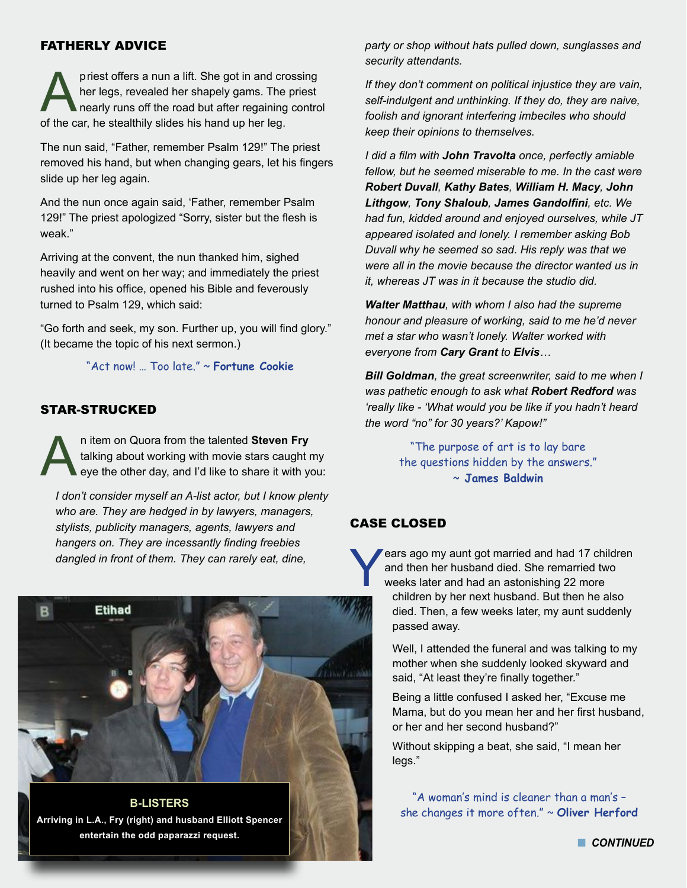#### FATHERLY ADVICE

priest offers a nun a lift. She got in and crossing<br>her legs, revealed her shapely gams. The priest<br>nearly runs off the road but after regaining contro<br>of the car, he stealthily slides his hand up her leg her legs, revealed her shapely gams. The priest nearly runs off the road but after regaining control of the car, he stealthily slides his hand up her leg.

The nun said, "Father, remember Psalm 129!" The priest removed his hand, but when changing gears, let his fingers slide up her leg again.

And the nun once again said, 'Father, remember Psalm 129!" The priest apologized "Sorry, sister but the flesh is weak."

Arriving at the convent, the nun thanked him, sighed heavily and went on her way; and immediately the priest rushed into his office, opened his Bible and feverously turned to Psalm 129, which said:

"Go forth and seek, my son. Further up, you will find glory." (It became the topic of his next sermon.)

"Act now! … Too late." ~ **Fortune Cookie**

#### STAR-STRUCKED

In item on Quora from the talented **Steven Fry**<br>talking about working with movie stars caught<br>eye the other day, and I'd like to share it with y talking about working with movie stars caught my eye the other day, and I'd like to share it with you:

*I don't consider myself an A-list actor, but I know plenty who are. They are hedged in by lawyers, managers, stylists, publicity managers, agents, lawyers and hangers on. They are incessantly finding freebies dangled in front of them. They can rarely eat, dine,* 

![](_page_2_Picture_10.jpeg)

**B-LISTERS Arriving in L.A., Fry (right) and husband Elliott Spencer entertain the odd paparazzi request.**

*party or shop without hats pulled down, sunglasses and security attendants.* 

*If they don't comment on political injustice they are vain, self-indulgent and unthinking. If they do, they are naive, foolish and ignorant interfering imbeciles who should keep their opinions to themselves.* 

*I did a film with John Travolta once, perfectly amiable fellow, but he seemed miserable to me. In the cast were Robert Duvall, Kathy Bates, William H. Macy, John Lithgow, Tony Shaloub, James Gandolfini, etc. We had fun, kidded around and enjoyed ourselves, while JT appeared isolated and lonely. I remember asking Bob Duvall why he seemed so sad. His reply was that we were all in the movie because the director wanted us in it, whereas JT was in it because the studio did.* 

*Walter Matthau, with whom I also had the supreme honour and pleasure of working, said to me he'd never met a star who wasn't lonely. Walter worked with everyone from Cary Grant to Elvis…* 

*Bill Goldman, the great screenwriter, said to me when I was pathetic enough to ask what Robert Redford was 'really like - 'What would you be like if you hadn't heard the word "no" for 30 years?' Kapow!"*

> "The purpose of art is to lay bare the questions hidden by the answers." ~ **James Baldwin**

#### CASE CLOSED

ears ago my aunt got married and had 17 children and then her husband died. She remarried two weeks later and had an astonishing 22 more children by her next husband. But then he also died. Then, a few weeks later, my aunt suddenly passed away.

Well, I attended the funeral and was talking to my mother when she suddenly looked skyward and said, "At least they're finally together."

Being a little confused I asked her, "Excuse me Mama, but do you mean her and her first husband, or her and her second husband?"

Without skipping a beat, she said, "I mean her legs."

"A woman's mind is cleaner than a man's – she changes it more often." ~ **Oliver Herford**